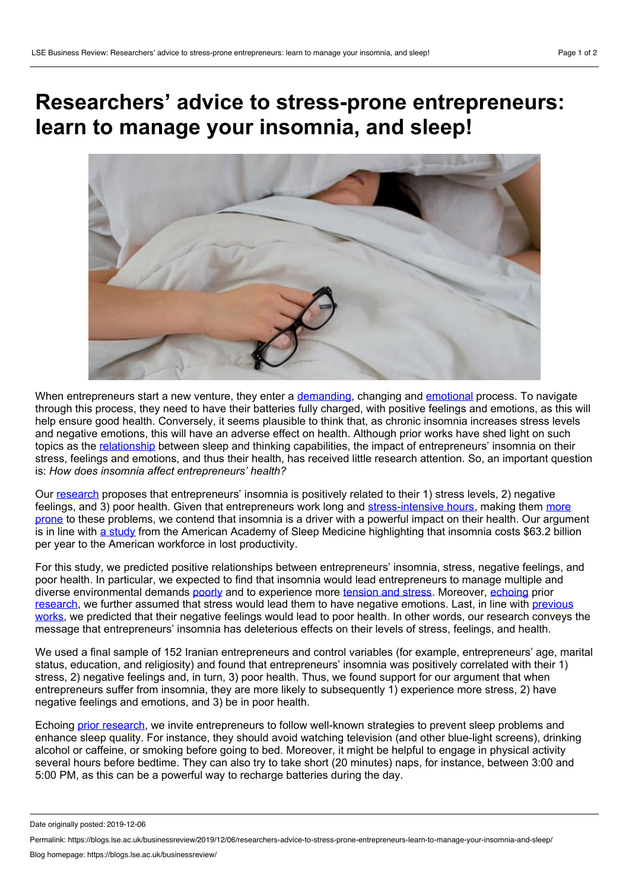## **Researchers' advice to stress-prone entrepreneurs: learn to manage your insomnia, and sleep!**



When entrepreneurs start a new venture, they enter a [demanding](https://journals.aom.org/doi/abs/10.5465/AMR.2008.31193166), changing and [emotional](https://journals.sagepub.com/doi/full/10.1111/j.1540-6520.2011.00501.x) process. To navigate through this process, they need to have their batteries fully charged, with positive feelings and emotions, as this will help ensure good health. Conversely, it seems plausible to think that, as chronic insomnia increases stress levels and negative emotions, this will have an adverse effect on health. Although prior works have shed light on such topics as the [relationship](https://psycnet.apa.org/doiLanding?doi=10.1037%252Fa0018883) between sleep and thinking capabilities, the impact of entrepreneurs' insomnia on their stress, feelings and emotions, and thus their health, has received little research attention. So, an important question is: *How does insomnia affect entrepreneurs' health?*

Our [research](https://www.mdpi.com/1911-8074/12/1/44) proposes that entrepreneurs' insomnia is positively related to their 1) stress levels, 2) negative feelings, and 3) poor health. Given that entrepreneurs work long and [stress-intensive](https://blogs.lse.ac.uk/businessreview/2018/04/12/rest-and-constructive-thinking-feed-entrepreneurs-creativity/) hours, making them more prone to these problems, we contend that insomnia is a driver with a powerful impact on their health. Our argument is in line with a [study](https://aasm.org/insomnia-costing-u-s-workforce-63-2-billion-a-year-in-lost-productivity-study-shows/) from the American Academy of Sleep Medicine highlighting that insomnia costs \$63.2 billion per year to the American workforce in lost productivity.

For this study, we predicted positive relationships between entrepreneurs' insomnia, stress, negative feelings, and poor health. In particular, we expected to find that insomnia would lead entrepreneurs to manage multiple and diverse environmental demands [poorly](https://www.springerpub.com/stress-appraisal-and-coping-9780826141910.html) and to experience more [tension](https://onlinelibrary.wiley.com/doi/abs/10.1002/smi.1292) and stress. Moreover, [echoing](https://onlinelibrary.wiley.com/doi/abs/10.1002/job.1794) prior [research](https://www.emerald.com/insight/content/doi/10.1108/S1746-979120160000012003/full/html), we further assumed that stress would lead them to have negative [emotions.](https://onlinelibrary.wiley.com/doi/abs/10.1111/apps.12021) Last, in line with previous works, we predicted that their negative feelings would lead to poor health. In other words, our research conveys the message that entrepreneurs' insomnia has deleterious effects on their levels of stress, feelings, and health.

We used a final sample of 152 Iranian entrepreneurs and control variables (for example, entrepreneurs' age, marital status, education, and religiosity) and found that entrepreneurs' insomnia was positively correlated with their 1) stress, 2) negative feelings and, in turn, 3) poor health. Thus, we found support for our argument that when entrepreneurs suffer from insomnia, they are more likely to subsequently 1) experience more stress, 2) have negative feelings and emotions, and 3) be in poor health.

Echoing prior [research](https://psycnet.apa.org/record/2011-01532-005), we invite entrepreneurs to follow well-known strategies to prevent sleep problems and enhance sleep quality. For instance, they should avoid watching television (and other blue-light screens), drinking alcohol or caffeine, or smoking before going to bed. Moreover, it might be helpful to engage in physical activity several hours before bedtime. They can also try to take short (20 minutes) naps, for instance, between 3:00 and 5:00 PM, as this can be a powerful way to recharge batteries during the day.

Date originally posted: 2019-12-06

Permalink: https://blogs.lse.ac.uk/businessreview/2019/12/06/researchers-advice-to-stress-prone-entrepreneurs-learn-to-manage-your-insomnia-and-sleep/